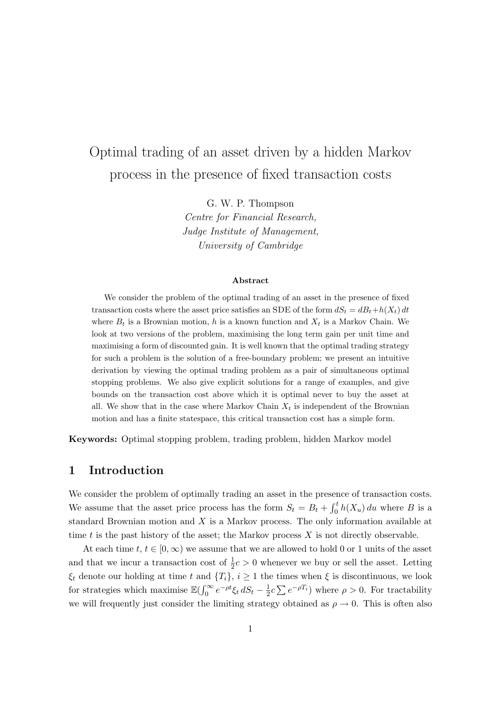# Optimal trading of an asset driven by a hidden Markov process in the presence of fixed transaction costs

G. W. P. Thompson

Centre for Financial Research, Judge Institute of Management, University of Cambridge

#### Abstract

We consider the problem of the optimal trading of an asset in the presence of fixed transaction costs where the asset price satisfies an SDE of the form  $dS_t = dB_t + h(X_t) dt$ where  $B_t$  is a Brownian motion, h is a known function and  $X_t$  is a Markov Chain. We look at two versions of the problem, maximising the long term gain per unit time and maximising a form of discounted gain. It is well known that the optimal trading strategy for such a problem is the solution of a free-boundary problem; we present an intuitive derivation by viewing the optimal trading problem as a pair of simultaneous optimal stopping problems. We also give explicit solutions for a range of examples, and give bounds on the transaction cost above which it is optimal never to buy the asset at all. We show that in the case where Markov Chain  $X_t$  is independent of the Brownian motion and has a finite statespace, this critical transaction cost has a simple form.

Keywords: Optimal stopping problem, trading problem, hidden Markov model

# 1 Introduction

We consider the problem of optimally trading an asset in the presence of transaction costs. We assume that the asset price process has the form  $S_t = B_t + \int_0^t h(X_u) du$  where B is a standard Brownian motion and  $X$  is a Markov process. The only information available at time t is the past history of the asset; the Markov process  $X$  is not directly observable.

At each time  $t, t \in [0, \infty)$  we assume that we are allowed to hold 0 or 1 units of the asset and that we incur a transaction cost of  $\frac{1}{2}c > 0$  whenever we buy or sell the asset. Letting  $\xi_t$  denote our holding at time t and  $\{T_i\}, i \geq 1$  the times when  $\xi$  is discontinuous, we look for strategies which maximise  $\mathbb{E}(\int_0^\infty e^{-\rho t}\xi_t dS_t - \frac{1}{2})$  $\frac{1}{2}c\sum e^{-\rho T_i}$  where  $\rho > 0$ . For tractability we will frequently just consider the limiting strategy obtained as  $\rho \rightarrow 0$ . This is often also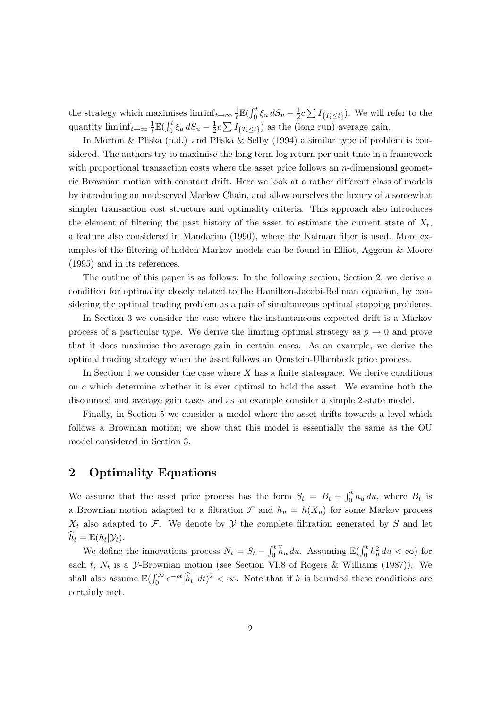the strategy which maximises  $\liminf_{t\to\infty} \frac{1}{t}$  $\frac{1}{t}\mathbb{E}(\int_0^t \xi_u dS_u - \frac{1}{2})$  $\frac{1}{2}c\sum I_{\{T_i\leq t\}}$ ). We will refer to the quantity  $\liminf_{t\to\infty}\frac{1}{t}$  $\frac{1}{t} \mathbb{E} \left( \int_0^t \xi_u \, dS_u - \frac{1}{2} \right)$  $\frac{1}{2}c\sum I_{\{T_i\leq t\}}$  as the (long run) average gain.

In Morton & Pliska (n.d.) and Pliska & Selby (1994) a similar type of problem is considered. The authors try to maximise the long term log return per unit time in a framework with proportional transaction costs where the asset price follows an  $n$ -dimensional geometric Brownian motion with constant drift. Here we look at a rather different class of models by introducing an unobserved Markov Chain, and allow ourselves the luxury of a somewhat simpler transaction cost structure and optimality criteria. This approach also introduces the element of filtering the past history of the asset to estimate the current state of  $X_t$ , a feature also considered in Mandarino (1990), where the Kalman filter is used. More examples of the filtering of hidden Markov models can be found in Elliot, Aggoun & Moore (1995) and in its references.

The outline of this paper is as follows: In the following section, Section 2, we derive a condition for optimality closely related to the Hamilton-Jacobi-Bellman equation, by considering the optimal trading problem as a pair of simultaneous optimal stopping problems.

In Section 3 we consider the case where the instantaneous expected drift is a Markov process of a particular type. We derive the limiting optimal strategy as  $\rho \to 0$  and prove that it does maximise the average gain in certain cases. As an example, we derive the optimal trading strategy when the asset follows an Ornstein-Ulhenbeck price process.

In Section 4 we consider the case where  $X$  has a finite statespace. We derive conditions on c which determine whether it is ever optimal to hold the asset. We examine both the discounted and average gain cases and as an example consider a simple 2-state model.

Finally, in Section 5 we consider a model where the asset drifts towards a level which follows a Brownian motion; we show that this model is essentially the same as the OU model considered in Section 3.

## 2 Optimality Equations

We assume that the asset price process has the form  $S_t = B_t + \int_0^t h_u du$ , where  $B_t$  is a Brownian motion adapted to a filtration F and  $h_u = h(X_u)$  for some Markov process  $X_t$  also adapted to F. We denote by Y the complete filtration generated by S and let  $\widehat{h}_t = \mathbb{E}(h_t|\mathcal{Y}_t).$ 

We define the innovations process  $N_t = S_t - \int_0^t \hat{h}_u du$ . Assuming  $\mathbb{E}(\int_0^t h_u^2 du < \infty)$  for each t,  $N_t$  is a  $\mathcal{Y}$ -Brownian motion (see Section VI.8 of Rogers & Williams (1987)). We shall also assume  $\mathbb{E}(\int_0^\infty e^{-\rho t}|\hat{h}_t| dt)^2 < \infty$ . Note that if h is bounded these conditions are certainly met.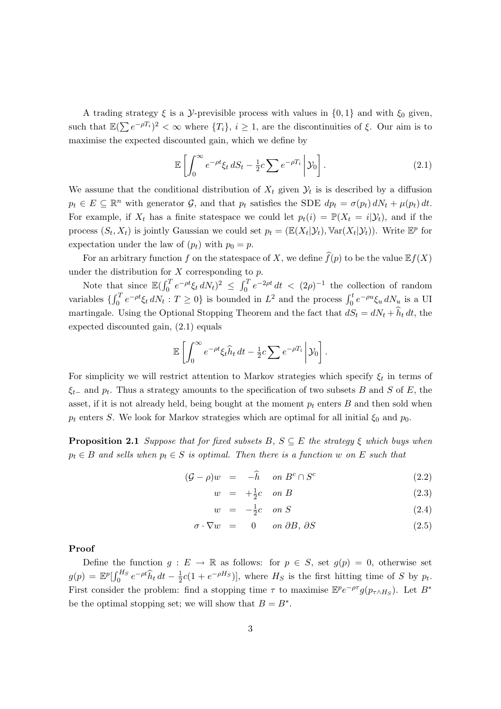A trading strategy  $\xi$  is a *y*-previsible process with values in  $\{0, 1\}$  and with  $\xi_0$  given, such that  $\mathbb{E}(\sum e^{-\rho T_i})^2 < \infty$  where  $\{T_i\}, i \geq 1$ , are the discontinuities of  $\xi$ . Our aim is to maximise the expected discounted gain, which we define by

$$
\mathbb{E}\left[\int_0^\infty e^{-\rho t}\xi_t\,dS_t - \frac{1}{2}c\sum e^{-\rho T_i}\,\bigg|\,\mathcal{Y}_0\right].\tag{2.1}
$$

We assume that the conditional distribution of  $X_t$  given  $\mathcal{Y}_t$  is is described by a diffusion  $p_t \in E \subseteq \mathbb{R}^n$  with generator  $\mathcal{G}$ , and that  $p_t$  satisfies the SDE  $dp_t = \sigma(p_t) dN_t + \mu(p_t) dt$ . For example, if  $X_t$  has a finite statespace we could let  $p_t(i) = \mathbb{P}(X_t = i | \mathcal{Y}_t)$ , and if the process  $(S_t, X_t)$  is jointly Gaussian we could set  $p_t = (\mathbb{E}(X_t | \mathcal{Y}_t), \mathbb{V}\text{ar}(X_t | \mathcal{Y}_t))$ . Write  $\mathbb{E}^p$  for expectation under the law of  $(p_t)$  with  $p_0 = p$ .

For an arbitrary function f on the statespace of X, we define  $\widehat{f}(p)$  to be the value  $\mathbb{E}f(X)$ under the distribution for  $X$  corresponding to  $p$ .

Note that since  $\mathbb{E}(\int_0^T e^{-\rho t} \xi_t dN_t)^2 \leq \int_0^T e^{-2\rho t} dt < (2\rho)^{-1}$  the collection of random variables  $\{\int_0^T e^{-\rho t} \xi_t dN_t : T \ge 0\}$  is bounded in  $L^2$  and the process  $\int_0^t e^{-\rho u} \xi_u dN_u$  is a UI martingale. Using the Optional Stopping Theorem and the fact that  $dS_t = dN_t + \hat{h}_t dt$ , the expected discounted gain, (2.1) equals

$$
\mathbb{E}\left[\int_0^\infty e^{-\rho t}\xi_t\widehat{h}_t dt - \frac{1}{2}c\sum e^{-\rho T_i}\right]\mathcal{Y}_0\right].
$$

For simplicity we will restrict attention to Markov strategies which specify  $\xi_t$  in terms of  $\xi_{t-}$  and  $p_t$ . Thus a strategy amounts to the specification of two subsets B and S of E, the asset, if it is not already held, being bought at the moment  $p_t$  enters  $B$  and then sold when  $p_t$  enters S. We look for Markov strategies which are optimal for all initial  $\xi_0$  and  $p_0$ .

**Proposition 2.1** Suppose that for fixed subsets  $B, S \subseteq E$  the strategy  $\xi$  which buys when  $p_t \in B$  and sells when  $p_t \in S$  is optimal. Then there is a function w on E such that

$$
(\mathcal{G} - \rho)w = -\widehat{h} \quad on \ B^c \cap S^c \tag{2.2}
$$

$$
w = +\frac{1}{2}c \quad on \ B \tag{2.3}
$$

$$
w = -\frac{1}{2}c \quad on \ S \tag{2.4}
$$

$$
\sigma \cdot \nabla w = 0 \quad on \ \partial B, \ \partial S \tag{2.5}
$$

Proof

Define the function  $g: E \to \mathbb{R}$  as follows: for  $p \in S$ , set  $g(p) = 0$ , otherwise set  $g(p) = \mathbb{E}^p \left[ \int_0^{H_S} e^{-\rho t} \hat{h}_t dt - \frac{1}{2} \right]$  $\frac{1}{2}c(1+e^{-\rho H_S})$ , where  $H_S$  is the first hitting time of S by  $p_t$ . First consider the problem: find a stopping time  $\tau$  to maximise  $\mathbb{E}^p e^{-\rho \tau} g(p_{\tau \wedge H_S})$ . Let  $B^*$ be the optimal stopping set; we will show that  $B = B^*$ .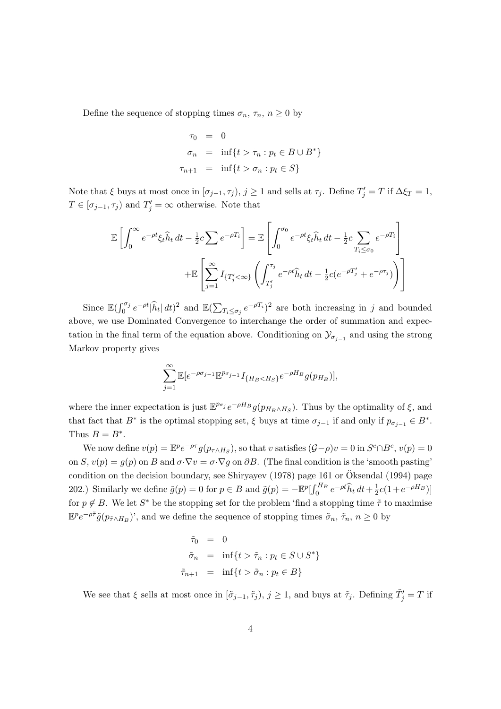Define the sequence of stopping times  $\sigma_n$ ,  $\tau_n$ ,  $n \geq 0$  by

$$
\tau_0 = 0
$$
  
\n
$$
\sigma_n = \inf\{t > \tau_n : p_t \in B \cup B^*\}
$$
  
\n
$$
\tau_{n+1} = \inf\{t > \sigma_n : p_t \in S\}
$$

Note that  $\xi$  buys at most once in  $[\sigma_{j-1}, \tau_j)$ ,  $j \ge 1$  and sells at  $\tau_j$ . Define  $T'_j = T$  if  $\Delta \xi_T = 1$ ,  $T \in [\sigma_{j-1}, \tau_j)$  and  $T'_j = \infty$  otherwise. Note that

$$
\mathbb{E}\left[\int_0^\infty e^{-\rho t}\xi_t\hat{h}_t dt - \frac{1}{2}c\sum e^{-\rho T_i}\right] = \mathbb{E}\left[\int_0^{\sigma_0} e^{-\rho t}\xi_t\hat{h}_t dt - \frac{1}{2}c\sum_{T_i \le \sigma_0} e^{-\rho T_i}\right]
$$

$$
+ \mathbb{E}\left[\sum_{j=1}^\infty I_{\{T'_j < \infty\}}\left(\int_{T'_j}^{\tau_j} e^{-\rho t}\hat{h}_t dt - \frac{1}{2}c(e^{-\rho T'_j} + e^{-\rho \tau_j})\right)\right]
$$

Since  $\mathbb{E}(\int_0^{\sigma_j} e^{-\rho t}|\hat{h}_t| dt)^2$  and  $\mathbb{E}(\sum_{T_i \leq \sigma_j} e^{-\rho T_i})^2$  are both increasing in j and bounded above, we use Dominated Convergence to interchange the order of summation and expectation in the final term of the equation above. Conditioning on  $\mathcal{Y}_{\sigma_{j-1}}$  and using the strong Markov property gives

$$
\sum_{j=1}^{\infty} \mathbb{E}[e^{-\rho \sigma_{j-1}} \mathbb{E}^{p_{\sigma_{j-1}}} I_{\{H_B < H_S\}} e^{-\rho H_B} g(p_{H_B})],
$$

where the inner expectation is just  $\mathbb{E}^{p_{\sigma_j}} e^{-\rho H_B} g(p_{H_B \wedge H_S})$ . Thus by the optimality of  $\xi$ , and that fact that  $B^*$  is the optimal stopping set,  $\xi$  buys at time  $\sigma_{j-1}$  if and only if  $p_{\sigma_{j-1}} \in B^*$ . Thus  $B = B^*$ .

We now define  $v(p) = \mathbb{E}^p e^{-\rho \tau} g(p_{\tau \wedge H_S})$ , so that v satisfies  $(\mathcal{G} - \rho)v = 0$  in  $S^c \cap B^c$ ,  $v(p) = 0$ on S,  $v(p) = g(p)$  on B and  $\sigma \cdot \nabla v = \sigma \cdot \nabla g$  on  $\partial B$ . (The final condition is the 'smooth pasting' condition on the decision boundary, see Shiryayev (1978) page 161 or  $\ddot{\text{O}}$ ksendal (1994) page 202.) Similarly we define  $\tilde{g}(p) = 0$  for  $p \in B$  and  $\tilde{g}(p) = -\mathbb{E}^p \left[\int_0^{H_B} e^{-\rho t} \hat{h}_t dt + \frac{1}{2} \right]$  $\frac{1}{2}c(1+e^{-\rho H_B})]$ for  $p \notin B$ . We let  $S^*$  be the stopping set for the problem 'find a stopping time  $\tilde{\tau}$  to maximise  $\mathbb{E}^p e^{-\rho \tilde{\tau}} \tilde{g}(p_{\tilde{\tau} \wedge H_B})'$ , and we define the sequence of stopping times  $\tilde{\sigma}_n$ ,  $\tilde{\tau}_n$ ,  $n \ge 0$  by

$$
\begin{aligned}\n\tilde{\tau}_0 &= 0\\ \n\tilde{\sigma}_n &= \inf\{t > \tilde{\tau}_n : p_t \in S \cup S^*\} \\
\tilde{\tau}_{n+1} &= \inf\{t > \tilde{\sigma}_n : p_t \in B\}\n\end{aligned}
$$

We see that  $\xi$  sells at most once in  $[\tilde{\sigma}_{j-1}, \tilde{\tau}_j)$ ,  $j \geq 1$ , and buys at  $\tilde{\tau}_j$ . Defining  $\tilde{T}'_j = T$  if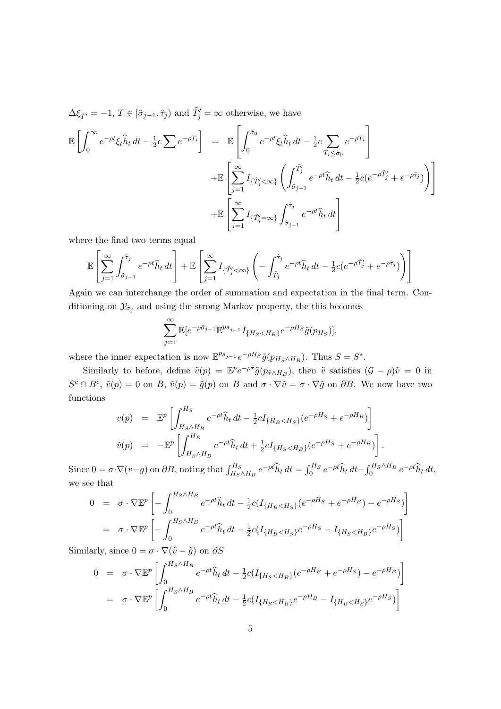$\Delta \xi_{\tilde{T}'} = -1, T \in [\tilde{\sigma}_{j-1}, \tilde{\tau}_j)$  and  $\tilde{T}'_j = \infty$  otherwise, we have

$$
\mathbb{E}\left[\int_0^\infty e^{-\rho t}\xi_t\hat{h}_t dt - \frac{1}{2}c\sum e^{-\rho T_i}\right] = \mathbb{E}\left[\int_0^{\tilde{\sigma}_0} e^{-\rho t}\xi_t\hat{h}_t dt - \frac{1}{2}c\sum_{T_i \leq \tilde{\sigma}_0} e^{-\rho T_i}\right] \n+ \mathbb{E}\left[\sum_{j=1}^\infty I_{\{\tilde{T}'_j < \infty\}}\left(\int_{\tilde{\sigma}_{j-1}}^{\tilde{T}'_j} e^{-\rho t}\hat{h}_t dt - \frac{1}{2}c(e^{-\rho \tilde{T}'_j} + e^{-\rho \tilde{\tau}_j})\right)\right] \n+ \mathbb{E}\left[\sum_{j=1}^\infty I_{\{\tilde{T}'_j = \infty\}}\int_{\tilde{\sigma}_{j-1}}^{\tilde{\tau}_j} e^{-\rho t}\hat{h}_t dt\right]
$$

where the final two terms equal

$$
\mathbb{E}\left[\sum_{j=1}^{\infty}\int_{\tilde{\sigma}_{j-1}}^{\tilde{\tau}_j}e^{-\rho t}\hat{h}_t dt\right]+\mathbb{E}\left[\sum_{j=1}^{\infty}I_{\{\tilde{T}_j'<\infty\}}\left(-\int_{\tilde{T}_j}^{\tilde{\tau}_j}e^{-\rho t}\hat{h}_t dt-\frac{1}{2}c(e^{-\rho \tilde{T}_j'}+e^{-\rho \tilde{\tau}_j})\right)\right]
$$

Again we can interchange the order of summation and expectation in the final term. Conditioning on  $\mathcal{Y}_{\tilde{\sigma}_j}$  and using the strong Markov property, the this becomes

$$
\sum_{j=1}^{\infty} \mathbb{E}[e^{-\rho \tilde{\sigma}_{j-1}} \mathbb{E}^{p_{\tilde{\sigma}_{j-1}}} I_{\{H_S < H_B\}} e^{-\rho H_S} \tilde{g}(p_{H_S})],
$$

where the inner expectation is now  $\mathbb{E}^{p_{\tilde{\sigma}_{j-1}}}e^{-\rho H_S}\tilde{g}(p_{H_S\wedge H_B})$ . Thus  $S=S^*$ .

Similarly to before, define  $\tilde{v}(p) = \mathbb{E}^p e^{-\rho \tilde{\tau}} \tilde{g}(p_{\tilde{\tau} \wedge H_B})$ , then  $\tilde{v}$  satisfies  $(\mathcal{G} - \rho)\tilde{v} = 0$  in  $S^c \cap B^c$ ,  $\tilde{v}(p) = 0$  on B,  $\tilde{v}(p) = \tilde{g}(p)$  on B and  $\sigma \cdot \nabla \tilde{v} = \sigma \cdot \nabla \tilde{g}$  on  $\partial B$ . We now have two functions

$$
v(p) = \mathbb{E}^p \left[ \int_{H_S \wedge H_B}^{H_S} e^{-\rho t} \hat{h}_t dt - \frac{1}{2} c I_{\{H_B < H_S\}} (e^{-\rho H_S} + e^{-\rho H_B}) \right]
$$
  

$$
\tilde{v}(p) = -\mathbb{E}^p \left[ \int_{H_S \wedge H_B}^{H_B} e^{-\rho t} \hat{h}_t dt + \frac{1}{2} c I_{\{H_S < H_B\}} (e^{-\rho H_S} + e^{-\rho H_B}) \right].
$$

Since  $0 = \sigma \cdot \nabla(v-g)$  on  $\partial B$ , noting that  $\int_{H_S \wedge H_B}^{H_S} e^{-\rho t} \hat{h}_t dt = \int_0^{H_S} e^{-\rho t} \hat{h}_t dt - \int_0^{H_S \wedge H_B} e^{-\rho t} \hat{h}_t dt$ , we see that

$$
0 = \sigma \cdot \nabla \mathbb{E}^{p} \left[ -\int_{0}^{H_{S} \wedge H_{B}} e^{-\rho t} \hat{h}_{t} dt - \frac{1}{2} c (I_{\{H_{B} < H_{S}\}} (e^{-\rho H_{S}} + e^{-\rho H_{B}}) - e^{-\rho H_{S}}) \right]
$$
\n
$$
= \sigma \cdot \nabla \mathbb{E}^{p} \left[ -\int_{0}^{H_{S} \wedge H_{B}} e^{-\rho t} \hat{h}_{t} dt - \frac{1}{2} c (I_{\{H_{B} < H_{S}\}} e^{-\rho H_{S}} - I_{\{H_{S} < H_{B}\}} e^{-\rho H_{S}}) \right]
$$

Similarly, since  $0 = \sigma \cdot \nabla (\tilde{v} - \tilde{g})$  on  $\partial S$ 

$$
0 = \sigma \cdot \nabla \mathbb{E}^{p} \left[ \int_{0}^{H_{S} \wedge H_{B}} e^{-\rho t} \hat{h}_{t} dt - \frac{1}{2} c (I_{\{H_{S} < H_{B}\}} (e^{-\rho H_{B}} + e^{-\rho H_{S}}) - e^{-\rho H_{B}}) \right]
$$
\n
$$
= \sigma \cdot \nabla \mathbb{E}^{p} \left[ \int_{0}^{H_{S} \wedge H_{B}} e^{-\rho t} \hat{h}_{t} dt - \frac{1}{2} c (I_{\{H_{S} < H_{B}\}} e^{-\rho H_{B}} - I_{\{H_{B} < H_{S}\}} e^{-\rho H_{S}}) \right]
$$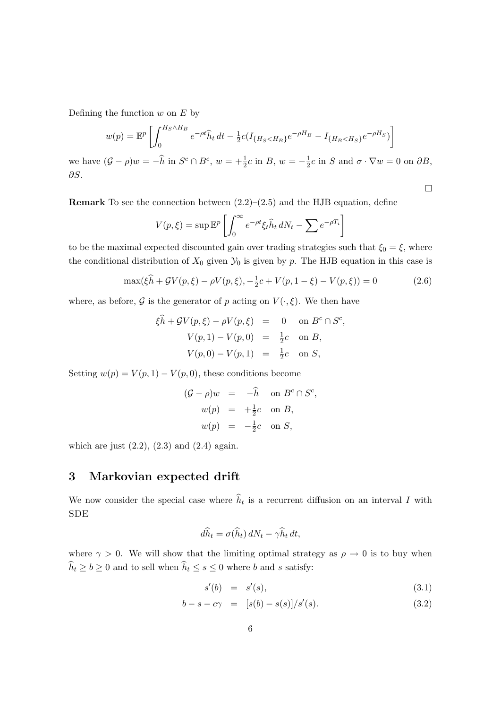Defining the function  $w$  on  $E$  by

$$
w(p) = \mathbb{E}^p \left[ \int_0^{H_S \wedge H_B} e^{-\rho t} \hat{h}_t dt - \frac{1}{2} c (I_{\{H_S < H_B\}} e^{-\rho H_B} - I_{\{H_B < H_S\}} e^{-\rho H_S}) \right]
$$

we have  $(\mathcal{G} - \rho)w = -\widehat{h}$  in  $S^c \cap B^c$ ,  $w = +\frac{1}{2}c$  in  $B$ ,  $w = -\frac{1}{2}$  $\frac{1}{2}c$  in S and  $\sigma \cdot \nabla w = 0$  on  $\partial B$ , ∂S.

**Remark** To see the connection between  $(2.2)$ – $(2.5)$  and the HJB equation, define

$$
V(p,\xi) = \sup \mathbb{E}^p \left[ \int_0^\infty e^{-\rho t} \xi_t \hat{h}_t \, dN_t - \sum e^{-\rho T_i} \right]
$$

to be the maximal expected discounted gain over trading strategies such that  $\xi_0 = \xi$ , where the conditional distribution of  $X_0$  given  $\mathcal{Y}_0$  is given by p. The HJB equation in this case is

$$
\max(\xi \widehat{h} + \mathcal{G}V(p,\xi) - \rho V(p,\xi), -\frac{1}{2}c + V(p,1-\xi) - V(p,\xi)) = 0
$$
\n(2.6)

 $\Box$ 

where, as before, G is the generator of p acting on  $V(\cdot,\xi)$ . We then have

$$
\xi \hat{h} + \mathcal{G}V(p,\xi) - \rho V(p,\xi) = 0 \text{ on } B^c \cap S^c,
$$
  

$$
V(p,1) - V(p,0) = \frac{1}{2}c \text{ on } B,
$$
  

$$
V(p,0) - V(p,1) = \frac{1}{2}c \text{ on } S,
$$

Setting  $w(p) = V(p, 1) - V(p, 0)$ , these conditions become

$$
(G - \rho)w = -\hat{h} \text{ on } B^c \cap S^c,
$$
  
\n
$$
w(p) = +\frac{1}{2}c \text{ on } B,
$$
  
\n
$$
w(p) = -\frac{1}{2}c \text{ on } S,
$$

which are just  $(2.2)$ ,  $(2.3)$  and  $(2.4)$  again.

# 3 Markovian expected drift

We now consider the special case where  $h_t$  is a recurrent diffusion on an interval I with SDE

$$
d\widehat{h}_t = \sigma(\widehat{h}_t) dN_t - \gamma \widehat{h}_t dt,
$$

where  $\gamma > 0$ . We will show that the limiting optimal strategy as  $\rho \to 0$  is to buy when  $\widehat{h}_t \geq b \geq 0$  and to sell when  $\widehat{h}_t \leq s \leq 0$  where  $b$  and  $s$  satisfy:

$$
s'(b) = s'(s), \t\t(3.1)
$$

$$
b - s - c\gamma = [s(b) - s(s)]/s'(s).
$$
 (3.2)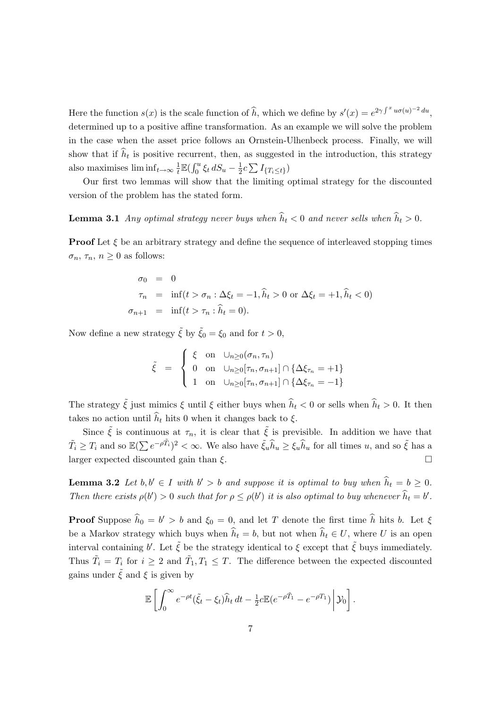Here the function  $s(x)$  is the scale function of  $\widehat{h}$ , which we define by  $s'(x) = e^{2\gamma \int^x u\sigma(u)^{-2} du}$ , determined up to a positive affine transformation. As an example we will solve the problem in the case when the asset price follows an Ornstein-Ulhenbeck process. Finally, we will show that if  $h_t$  is positive recurrent, then, as suggested in the introduction, this strategy also maximises  $\liminf_{t\to\infty}\frac{1}{t}$  $\frac{1}{t} \mathbb{E} \left( \int_0^u \xi_t \, dS_u - \frac{1}{2} \right)$  $\frac{1}{2}c\sum I_{\{T_i\leq t\}}$ 

Our first two lemmas will show that the limiting optimal strategy for the discounted version of the problem has the stated form.

**Lemma 3.1** Any optimal strategy never buys when  $\hat{h}_t < 0$  and never sells when  $\hat{h}_t > 0$ .

**Proof** Let  $\xi$  be an arbitrary strategy and define the sequence of interleaved stopping times  $\sigma_n$ ,  $\tau_n$ ,  $n \geq 0$  as follows:

$$
\sigma_0 = 0
$$
  
\n
$$
\tau_n = \inf(t > \sigma_n : \Delta \xi_t = -1, \hat{h}_t > 0 \text{ or } \Delta \xi_t = +1, \hat{h}_t < 0)
$$
  
\n
$$
\sigma_{n+1} = \inf(t > \tau_n : \hat{h}_t = 0).
$$

Now define a new strategy  $\tilde{\xi}$  by  $\tilde{\xi}_0 = \xi_0$  and for  $t > 0$ ,

$$
\tilde{\xi} = \begin{cases} \xi & \text{on} \quad \bigcup_{n\geq 0} (\sigma_n, \tau_n) \\ 0 & \text{on} \quad \bigcup_{n\geq 0} [\tau_n, \sigma_{n+1}] \cap \{ \Delta \xi_{\tau_n} = +1 \} \\ 1 & \text{on} \quad \bigcup_{n\geq 0} [\tau_n, \sigma_{n+1}] \cap \{ \Delta \xi_{\tau_n} = -1 \} \end{cases}
$$

The strategy  $\tilde{\xi}$  just mimics  $\xi$  until  $\xi$  either buys when  $\hat{h}_t < 0$  or sells when  $\hat{h}_t > 0$ . It then takes no action until  $\hat{h}_t$  hits 0 when it changes back to  $\xi$ .

Since  $\tilde{\xi}$  is continuous at  $\tau_n$ , it is clear that  $\tilde{\xi}$  is previsible. In addition we have that  $\tilde{T}_i \geq T_i$  and so  $\mathbb{E}(\sum e^{-\rho \tilde{T}_i})^2 < \infty$ . We also have  $\tilde{\xi}_u \hat{h}_u \geq \xi_u \hat{h}_u$  for all times  $u$ , and so  $\tilde{\xi}$  has a larger expected discounted gain than  $\xi$ .

**Lemma 3.2** Let  $b, b' \in I$  with  $b' > b$  and suppose it is optimal to buy when  $\widehat{h}_t = b \ge 0$ . Then there exists  $\rho(b') > 0$  such that for  $\rho \leq \rho(b')$  it is also optimal to buy whenever  $\hat{h}_t = b'$ .

**Proof** Suppose  $\hat{h}_0 = b' > b$  and  $\xi_0 = 0$ , and let T denote the first time  $\hat{h}$  hits b. Let  $\xi$ be a Markov strategy which buys when  $\hat{h}_t = b$ , but not when  $\hat{h}_t \in U$ , where U is an open interval containing b'. Let  $\tilde{\xi}$  be the strategy identical to  $\xi$  except that  $\tilde{\xi}$  buys immediately. Thus  $\tilde{T}_i = T_i$  for  $i \geq 2$  and  $\tilde{T}_1, T_1 \leq T$ . The difference between the expected discounted gains under  $\xi$  and  $\xi$  is given by

$$
\mathbb{E}\left[\int_0^\infty e^{-\rho t}(\tilde{\xi}_t-\xi_t)\widehat{h}_t dt - \frac{1}{2}c \mathbb{E}(e^{-\rho \tilde{T}_1} - e^{-\rho T_1})\right] \mathcal{Y}_0\right].
$$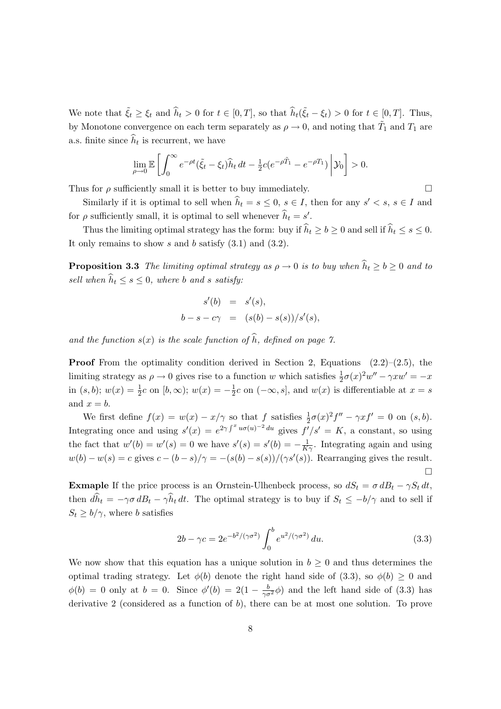We note that  $\tilde{\xi}_t \geq \xi_t$  and  $\hat{h}_t > 0$  for  $t \in [0, T]$ , so that  $\hat{h}_t(\tilde{\xi}_t - \xi_t) > 0$  for  $t \in [0, T]$ . Thus, by Monotone convergence on each term separately as  $\rho \to 0$ , and noting that  $\tilde{T}_1$  and  $T_1$  are a.s. finite since  $h_t$  is recurrent, we have

$$
\lim_{\rho \to 0} \mathbb{E} \left[ \int_0^\infty e^{-\rho t} (\tilde{\xi}_t - \xi_t) \widehat{h}_t dt - \frac{1}{2} c (e^{-\rho \tilde{T}_1} - e^{-\rho T_1}) \middle| \mathcal{Y}_0 \right] > 0.
$$

Thus for  $\rho$  sufficiently small it is better to buy immediately.

Similarly if it is optimal to sell when  $\hat{h}_t = s \leq 0$ ,  $s \in I$ , then for any  $s' < s$ ,  $s \in I$  and for  $\rho$  sufficiently small, it is optimal to sell whenever  $\hat{h}_t = s'$ .

Thus the limiting optimal strategy has the form: buy if  $\widehat{h}_t \ge b \ge 0$  and sell if  $\widehat{h}_t \le s \le 0$ . It only remains to show  $s$  and  $b$  satisfy  $(3.1)$  and  $(3.2)$ .

**Proposition 3.3** The limiting optimal strategy as  $\rho \to 0$  is to buy when  $\hat{h}_t \geq b \geq 0$  and to sell when  $\widehat{h}_t \leq s \leq 0$ , where b and s satisfy:

$$
s'(b) = s'(s),
$$
  

$$
b - s - c\gamma = (s(b) - s(s))/s'(s),
$$

and the function  $s(x)$  is the scale function of  $\widehat{h}$ , defined on page 7.

**Proof** From the optimality condition derived in Section 2, Equations  $(2.2)$ – $(2.5)$ , the limiting strategy as  $\rho \to 0$  gives rise to a function w which satisfies  $\frac{1}{2}\sigma(x)^2w'' - \gamma xw' = -x$ in  $(s, b)$ ;  $w(x) = \frac{1}{2}c$  on  $[b, \infty)$ ;  $w(x) = -\frac{1}{2}$  $\frac{1}{2}c$  on  $(-\infty, s]$ , and  $w(x)$  is differentiable at  $x = s$ and  $x = b$ .

We first define  $f(x) = w(x) - x/\gamma$  so that f satisfies  $\frac{1}{2}\sigma(x)^2 f'' - \gamma x f' = 0$  on  $(s, b)$ . Integrating once and using  $s'(x) = e^{2\gamma \int^x u\sigma(u)^{-2} du}$  gives  $f'/s' = K$ , a constant, so using the fact that  $w'(b) = w'(s) = 0$  we have  $s'(s) = s'(b) = -\frac{1}{K\gamma}$ . Integrating again and using  $w(b) - w(s) = c$  gives  $c - (b - s)/\gamma = -(s(b) - s(s))/(\gamma s'(s))$ . Rearranging gives the result.  $\Box$ 

**Exmaple** If the price process is an Ornstein-Ulhenbeck process, so  $dS_t = \sigma dB_t - \gamma S_t dt$ , then  $d\hat{h}_t = -\gamma \sigma dB_t - \gamma \hat{h}_t dt$ . The optimal strategy is to buy if  $S_t \leq -b/\gamma$  and to sell if  $S_t \ge b/\gamma$ , where b satisfies

$$
2b - \gamma c = 2e^{-b^2/(\gamma \sigma^2)} \int_0^b e^{u^2/(\gamma \sigma^2)} du.
$$
 (3.3)

We now show that this equation has a unique solution in  $b \geq 0$  and thus determines the optimal trading strategy. Let  $\phi(b)$  denote the right hand side of (3.3), so  $\phi(b) \geq 0$  and  $\phi(b) = 0$  only at  $b = 0$ . Since  $\phi'(b) = 2(1 - \frac{b}{\gamma \sigma^2} \phi)$  and the left hand side of (3.3) has derivative 2 (considered as a function of b), there can be at most one solution. To prove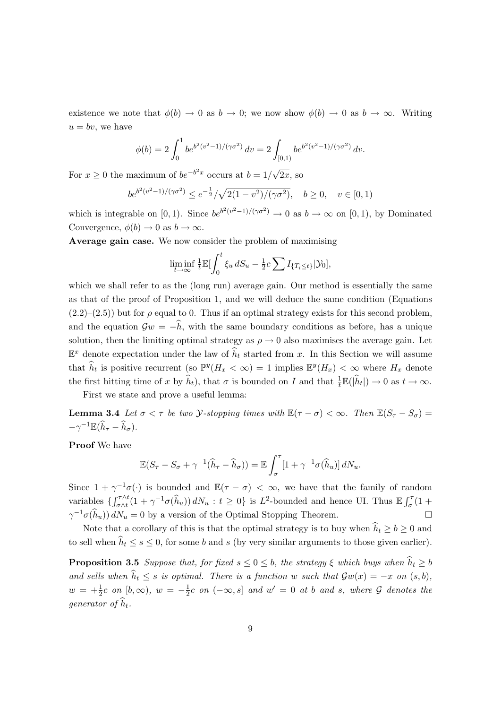existence we note that  $\phi(b) \to 0$  as  $b \to 0$ ; we now show  $\phi(b) \to 0$  as  $b \to \infty$ . Writing  $u = bv$ , we have

$$
\phi(b) = 2 \int_0^1 b e^{b^2(v^2 - 1)/(\gamma \sigma^2)} dv = 2 \int_{[0,1)} b e^{b^2(v^2 - 1)/(\gamma \sigma^2)} dv.
$$

For  $x \geq 0$  the maximum of  $be^{-b^2x}$  occurs at  $b = 1/$  $2x$ , so

$$
be^{b^2(v^2-1)/(\gamma\sigma^2)} \le e^{-\frac{1}{2}}/\sqrt{2(1-v^2)/(\gamma\sigma^2)}, \quad b \ge 0, \quad v \in [0,1)
$$

which is integrable on [0, 1). Since  $be^{b^2(v^2-1)/(\gamma\sigma^2)} \to 0$  as  $b \to \infty$  on [0, 1), by Dominated Convergence,  $\phi(b) \to 0$  as  $b \to \infty$ .

Average gain case. We now consider the problem of maximising

$$
\liminf_{t \to \infty} \frac{1}{t} \mathbb{E} \left[ \int_0^t \xi_u \, dS_u - \frac{1}{2} c \sum I_{\{T_i \le t\}} | \mathcal{Y}_0 \right],
$$

which we shall refer to as the (long run) average gain. Our method is essentially the same as that of the proof of Proposition 1, and we will deduce the same condition (Equations  $(2.2)$ – $(2.5)$ ) but for  $\rho$  equal to 0. Thus if an optimal strategy exists for this second problem, and the equation  $\mathcal{G}w = -\hat{h}$ , with the same boundary conditions as before, has a unique solution, then the limiting optimal strategy as  $\rho \rightarrow 0$  also maximises the average gain. Let  $\mathbb{E}^x$  denote expectation under the law of  $\hat{h}_t$  started from x. In this Section we will assume that  $\widehat{h}_t$  is positive recurrent (so  $\mathbb{P}^y(H_x < \infty) = 1$  implies  $\mathbb{E}^y(H_x) < \infty$  where  $H_x$  denote the first hitting time of x by  $\hat{h}_t$ ), that  $\sigma$  is bounded on I and that  $\frac{1}{t}\mathbb{E}(|\hat{h}_t|) \to 0$  as  $t \to \infty$ .

First we state and prove a useful lemma:

**Lemma 3.4** Let  $\sigma < \tau$  be two *Y*-stopping times with  $\mathbb{E}(\tau - \sigma) < \infty$ . Then  $\mathbb{E}(S_{\tau} - S_{\sigma}) =$  $-\gamma^{-1}\mathbb{E}(\widehat{h}_{\tau}-\widehat{h}_{\sigma}).$ 

Proof We have

$$
\mathbb{E}(S_{\tau}-S_{\sigma}+\gamma^{-1}(\widehat{h}_{\tau}-\widehat{h}_{\sigma}))=\mathbb{E}\int_{\sigma}^{\tau}[1+\gamma^{-1}\sigma(\widehat{h}_{u})]dN_{u}.
$$

Since  $1 + \gamma^{-1}\sigma(\cdot)$  is bounded and  $\mathbb{E}(\tau - \sigma) < \infty$ , we have that the family of random variables  $\left\{\int_{\sigma \wedge t}^{\tau \wedge t} (1 + \gamma^{-1} \sigma(\widehat{h}_u)) dN_u : t \ge 0 \right\}$  is  $L^2$ -bounded and hence UI. Thus  $\mathbb{E} \int_{\sigma}^{\tau} (1 +$  $\gamma^{-1}\sigma(\widehat{h}_u)) dN_u = 0$  by a version of the Optimal Stopping Theorem.

Note that a corollary of this is that the optimal strategy is to buy when  $\hat{h}_t \geq b \geq 0$  and to sell when  $\hat{h}_t \leq s \leq 0$ , for some b and s (by very similar arguments to those given earlier).

**Proposition 3.5** Suppose that, for fixed  $s \leq 0 \leq b$ , the strategy  $\xi$  which buys when  $\hat{h}_t \geq b$ and sells when  $\hat{h}_t \leq s$  is optimal. There is a function w such that  $\mathcal{G}w(x) = -x$  on  $(s, b)$ ,  $w = +\frac{1}{2}c \text{ on } [b, \infty), w = -\frac{1}{2}$  $\frac{1}{2}c$  on  $(-\infty, s]$  and  $w' = 0$  at b and s, where  $\mathcal G$  denotes the generator of  $\widehat{h}_t$ .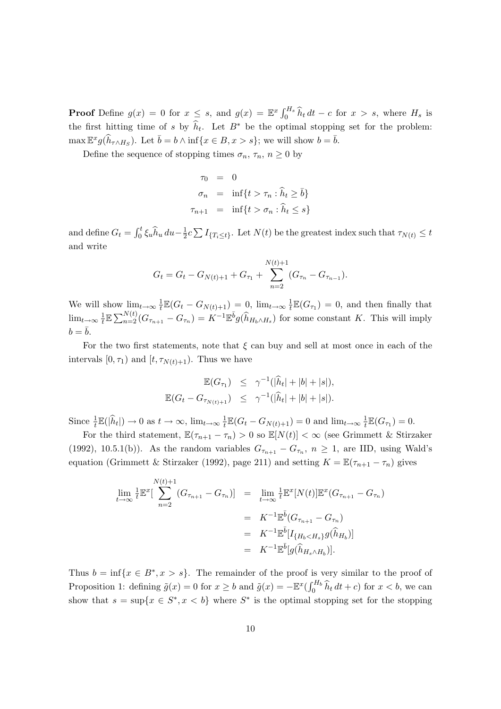**Proof** Define  $g(x) = 0$  for  $x \leq s$ , and  $g(x) = \mathbb{E}^x \int_0^{H_s} \hat{h}_t dt - c$  for  $x > s$ , where  $H_s$  is the first hitting time of s by  $\hat{h}_t$ . Let  $B^*$  be the optimal stopping set for the problem:  $\max \mathbb{E}^x g(\widehat{h}_{\tau \wedge H_S})$ . Let  $\overline{b} = b \wedge \inf \{x \in B, x > s\}$ ; we will show  $b = \overline{b}$ .

Define the sequence of stopping times  $\sigma_n$ ,  $\tau_n$ ,  $n \geq 0$  by

$$
\begin{aligned}\n\tau_0 &= 0\\ \n\sigma_n &= \inf\{t > \tau_n : \hat{h}_t \ge \bar{b}\} \\
\tau_{n+1} &= \inf\{t > \sigma_n : \hat{h}_t \le s\}\n\end{aligned}
$$

and define  $G_t = \int_0^t \xi_u \hat{h}_u du - \frac{1}{2}$  $\frac{1}{2}c\sum I_{\{T_i\leq t\}}$ . Let  $N(t)$  be the greatest index such that  $\tau_{N(t)} \leq t$ and write

$$
G_t = G_t - G_{N(t)+1} + G_{\tau_1} + \sum_{n=2}^{N(t)+1} (G_{\tau_n} - G_{\tau_{n-1}}).
$$

We will show  $\lim_{t\to\infty}\frac{1}{t}$  $\frac{1}{t} \mathbb{E}(G_t - G_{N(t)+1}) = 0$ ,  $\lim_{t \to \infty} \frac{1}{t}$  $\frac{1}{t}\mathbb{E}(G_{\tau_1})=0$ , and then finally that  $\lim_{t\to\infty}\frac{1}{t}$  $\frac{1}{L} \mathbb{E} \sum_{n=2}^{N(t)} (G_{\tau_{n+1}} - G_{\tau_n}) = K^{-1} \mathbb{E}^{\bar{b}} g(\hat{h}_{H_b \wedge H_s})$  for some constant K. This will imply  $b = \overline{b}$ .

For the two first statements, note that  $\xi$  can buy and sell at most once in each of the intervals  $[0, \tau_1)$  and  $[t, \tau_{N(t)+1})$ . Thus we have

$$
\mathbb{E}(G_{\tau_1}) \leq \gamma^{-1}(|\hat{h}_t| + |b| + |s|),
$$
  

$$
\mathbb{E}(G_t - G_{\tau_{N(t)+1}}) \leq \gamma^{-1}(|\hat{h}_t| + |b| + |s|).
$$

Since  $\frac{1}{t}\mathbb{E}(|\hat{h}_t|) \to 0$  as  $t \to \infty$ ,  $\lim_{t \to \infty} \frac{1}{t}$  $\frac{1}{t} \mathbb{E}(G_t - G_{N(t)+1}) = 0$  and  $\lim_{t \to \infty} \frac{1}{t}$  $\frac{1}{t}\mathbb{E}(G_{\tau_1})=0.$ 

For the third statement,  $\mathbb{E}(\tau_{n+1} - \tau_n) > 0$  so  $\mathbb{E}[N(t)] < \infty$  (see Grimmett & Stirzaker (1992), 10.5.1(b)). As the random variables  $G_{\tau_{n+1}} - G_{\tau_n}$ ,  $n \geq 1$ , are IID, using Wald's equation (Grimmett & Stirzaker (1992), page 211) and setting  $K = \mathbb{E}(\tau_{n+1} - \tau_n)$  gives

$$
\lim_{t \to \infty} \frac{1}{t} \mathbb{E}^{x} \left[ \sum_{n=2}^{N(t)+1} (G_{\tau_{n+1}} - G_{\tau_{n}}) \right] = \lim_{t \to \infty} \frac{1}{t} \mathbb{E}^{x} [N(t)] \mathbb{E}^{x} (G_{\tau_{n+1}} - G_{\tau_{n}})
$$
\n
$$
= K^{-1} \mathbb{E}^{\bar{b}} (G_{\tau_{n+1}} - G_{\tau_{n}})
$$
\n
$$
= K^{-1} \mathbb{E}^{\bar{b}} [I_{\{H_{b} < H_{s}\}} g(\hat{h}_{H_{b}})]
$$
\n
$$
= K^{-1} \mathbb{E}^{\bar{b}} [g(\hat{h}_{H_{s} \wedge H_{b}})].
$$

Thus  $b = \inf\{x \in B^*, x > s\}.$  The remainder of the proof is very similar to the proof of Proposition 1: defining  $\tilde{g}(x) = 0$  for  $x \ge b$  and  $\tilde{g}(x) = -\mathbb{E}^x(\int_0^{H_b} \hat{h}_t dt + c)$  for  $x < b$ , we can show that  $s = \sup\{x \in S^*, x < b\}$  where  $S^*$  is the optimal stopping set for the stopping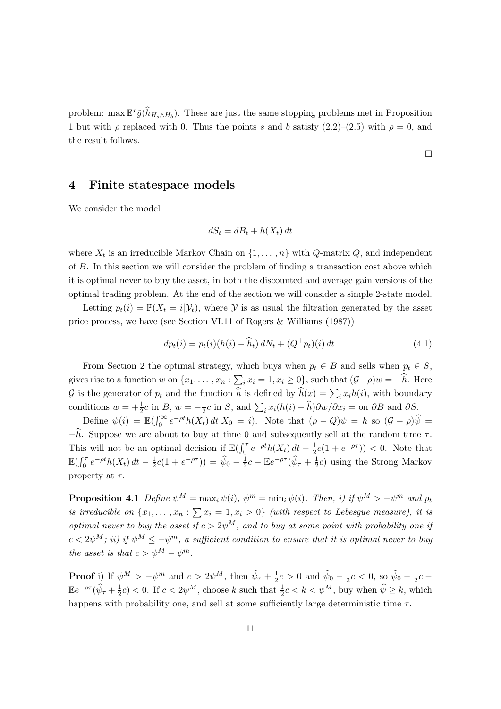problem:  $\max \mathbb{E}^x \tilde{g}(\hat{h}_{H_s \wedge H_b})$ . These are just the same stopping problems met in Proposition 1 but with  $\rho$  replaced with 0. Thus the points s and b satisfy  $(2.2)$ – $(2.5)$  with  $\rho = 0$ , and the result follows.

# 4 Finite statespace models

We consider the model

$$
dS_t = dB_t + h(X_t) dt
$$

where  $X_t$  is an irreducible Markov Chain on  $\{1, \ldots, n\}$  with Q-matrix Q, and independent of B. In this section we will consider the problem of finding a transaction cost above which it is optimal never to buy the asset, in both the discounted and average gain versions of the optimal trading problem. At the end of the section we will consider a simple 2-state model.

Letting  $p_t(i) = \mathbb{P}(X_t = i | \mathcal{Y}_t)$ , where  $\mathcal Y$  is as usual the filtration generated by the asset price process, we have (see Section VI.11 of Rogers & Williams (1987))

$$
dp_t(i) = p_t(i)(h(i) - \hat{h}_t) dN_t + (Q^{\top} p_t)(i) dt.
$$
 (4.1)

 $\Box$ 

From Section 2 the optimal strategy, which buys when  $p_t \in B$  and sells when  $p_t \in S$ , gives rise to a function w on  $\{x_1, \ldots, x_n : \sum_i x_i = 1, x_i \ge 0\}$ , such that  $(\mathcal{G} - \rho)w = -\widehat{h}$ . Here G is the generator of  $p_t$  and the function  $\hat{h}$  is defined by  $\hat{h}(x) = \sum_i x_i h(i)$ , with boundary conditions  $w = +\frac{1}{2}c$  in B,  $w = -\frac{1}{2}$  $\frac{1}{2}c$  in S, and  $\sum_i x_i(h(i) - \hat{h})\partial w/\partial x_i =$  on  $\partial B$  and  $\partial S$ .

Define  $\psi(i) = \mathbb{E}(\int_0^\infty e^{-\rho t} h(X_t) dt | X_0 = i)$ . Note that  $(\rho - Q)\psi = h$  so  $(\mathcal{G} - \rho)\hat{\psi} =$  $-\hat{h}$ . Suppose we are about to buy at time 0 and subsequently sell at the random time  $\tau$ . This will not be an optimal decision if  $\mathbb{E}(\int_0^{\tau} e^{-\rho t} h(X_t) dt - \frac{1}{2})$  $\frac{1}{2}c(1 + e^{-\rho\tau})) < 0$ . Note that  $\mathbb{E}(\int_0^\tau e^{-\rho t}h(X_t) dt - \frac{1}{2})$  $\frac{1}{2}c(1+e^{-\rho\tau})) = \hat{\psi}_0 - \frac{1}{2}$  $\frac{1}{2}c - \mathbb{E}e^{-\rho\tau}(\widehat{\psi}_{\tau} + \frac{1}{2})$  $\frac{1}{2}c$ ) using the Strong Markov property at  $\tau$ .

**Proposition 4.1** Define  $\psi^M = \max_i \psi(i)$ ,  $\psi^m = \min_i \psi(i)$ . Then, i) if  $\psi^M > -\psi^m$  and  $p_t$ is irreducible on  $\{x_1, \ldots, x_n : \sum x_i = 1, x_i > 0\}$  (with respect to Lebesgue measure), it is optimal never to buy the asset if  $c > 2\psi^M$ , and to buy at some point with probability one if  $c < 2\psi^M$ ; ii) if  $\psi^M \leq -\psi^m$ , a sufficient condition to ensure that it is optimal never to buy the asset is that  $c > \psi^M - \psi^m$ .

**Proof** i) If  $\psi^M > -\psi^m$  and  $c > 2\psi^M$ , then  $\widehat{\psi}_{\tau} + \frac{1}{2}$  $\frac{1}{2}c > 0$  and  $\widehat{\psi}_0 - \frac{1}{2}$  $\frac{1}{2}c < 0$ , so  $\hat{\psi}_0 - \frac{1}{2}$  $rac{1}{2}c$  –  $\mathbb{E}e^{-\rho\tau}(\widehat{\psi}_{\tau}+\frac{1}{2})$  $(\frac{1}{2}c) < 0$ . If  $c < 2\psi^M$ , choose k such that  $\frac{1}{2}c < k < \psi^M$ , buy when  $\widehat{\psi} \geq k$ , which happens with probability one, and sell at some sufficiently large deterministic time  $\tau$ .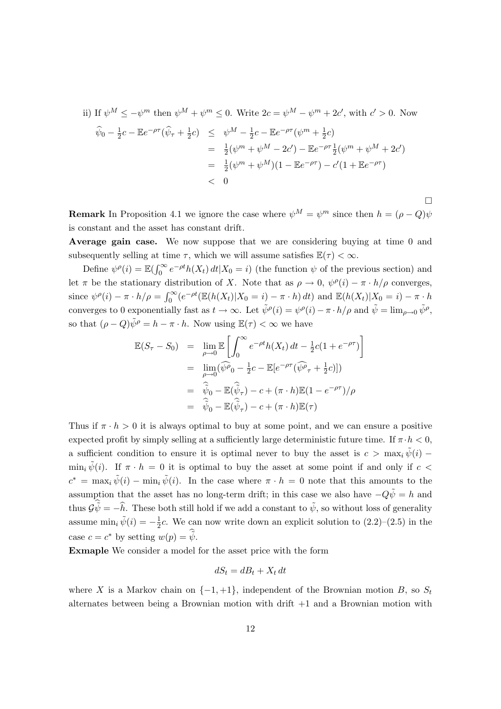ii) If 
$$
\psi^M \leq -\psi^m
$$
 then  $\psi^M + \psi^m \leq 0$ . Write  $2c = \psi^M - \psi^m + 2c'$ , with  $c' > 0$ . Now  
\n
$$
\hat{\psi}_0 - \frac{1}{2}c - \mathbb{E}e^{-\rho\tau}(\hat{\psi}_\tau + \frac{1}{2}c) \leq \psi^M - \frac{1}{2}c - \mathbb{E}e^{-\rho\tau}(\psi^m + \frac{1}{2}c)
$$
\n
$$
= \frac{1}{2}(\psi^m + \psi^M - 2c') - \mathbb{E}e^{-\rho\tau}\frac{1}{2}(\psi^m + \psi^M + 2c')
$$
\n
$$
= \frac{1}{2}(\psi^m + \psi^M)(1 - \mathbb{E}e^{-\rho\tau}) - c'(1 + \mathbb{E}e^{-\rho\tau})
$$
\n
$$
< 0
$$

**Remark** In Proposition 4.1 we ignore the case where  $\psi^M = \psi^m$  since then  $h = (\rho - Q)\psi$ is constant and the asset has constant drift.

 $\Box$ 

Average gain case. We now suppose that we are considering buying at time 0 and subsequently selling at time  $\tau$ , which we will assume satisfies  $\mathbb{E}(\tau) < \infty$ .

Define  $\psi^{\rho}(i) = \mathbb{E}(\int_0^{\infty} e^{-\rho t} h(X_t) dt | X_0 = i)$  (the function  $\psi$  of the previous section) and let  $\pi$  be the stationary distribution of X. Note that as  $\rho \to 0$ ,  $\psi^{\rho}(i) - \pi \cdot h/\rho$  converges, since  $\psi^{\rho}(i) - \pi \cdot h/\rho = \int_0^{\infty} (e^{-\rho t} (\mathbb{E}(h(X_t)|X_0 = i) - \pi \cdot h) dt)$  and  $\mathbb{E}(h(X_t)|X_0 = i) - \pi \cdot h$ converges to 0 exponentially fast as  $t \to \infty$ . Let  $\tilde{\psi}^{\rho}(i) = \psi^{\rho}(i) - \pi \cdot h/\rho$  and  $\tilde{\psi} = \lim_{\rho \to 0} \tilde{\psi}^{\rho}$ , so that  $(\rho - Q)\tilde{\psi}^{\rho} = h - \pi \cdot h$ . Now using  $\mathbb{E}(\tau) < \infty$  we have

$$
\mathbb{E}(S_{\tau} - S_0) = \lim_{\rho \to 0} \mathbb{E} \left[ \int_0^{\infty} e^{-\rho t} h(X_t) dt - \frac{1}{2} c (1 + e^{-\rho \tau}) \right]
$$
  
\n
$$
= \lim_{\rho \to 0} (\widehat{\psi \rho}_0 - \frac{1}{2} c - \mathbb{E} [e^{-\rho \tau} (\widehat{\psi} \rho_\tau + \frac{1}{2} c)])
$$
  
\n
$$
= \widehat{\psi}_0 - \mathbb{E} (\widehat{\psi}_\tau) - c + (\pi \cdot h) \mathbb{E} (1 - e^{-\rho \tau}) / \rho
$$
  
\n
$$
= \widehat{\psi}_0 - \mathbb{E} (\widehat{\psi}_\tau) - c + (\pi \cdot h) \mathbb{E} (\tau)
$$

Thus if  $\pi \cdot h > 0$  it is always optimal to buy at some point, and we can ensure a positive expected profit by simply selling at a sufficiently large deterministic future time. If  $\pi \cdot h < 0$ , a sufficient condition to ensure it is optimal never to buy the asset is  $c > \max_i \tilde{\psi}(i)$  –  $\min_i \tilde{\psi}(i)$ . If  $\pi \cdot h = 0$  it is optimal to buy the asset at some point if and only if  $c <$  $c^* = \max_i \tilde{\psi}(i) - \min_i \tilde{\psi}(i)$ . In the case where  $\pi \cdot h = 0$  note that this amounts to the assumption that the asset has no long-term drift; in this case we also have  $-Q\tilde{\psi} = h$  and thus  $\mathcal{G}\tilde{\psi} = -\hat{h}$ . These both still hold if we add a constant to  $\tilde{\psi}$ , so without loss of generality assume  $\min_i \tilde{\psi}(i) = -\frac{1}{2}$  $\frac{1}{2}c$ . We can now write down an explicit solution to  $(2.2)$ – $(2.5)$  in the case  $c = c^*$  by setting  $w(p) = \tilde{\hat{\psi}}$ .

Exmaple We consider a model for the asset price with the form

$$
dS_t = dB_t + X_t dt
$$

where X is a Markov chain on  $\{-1, +1\}$ , independent of the Brownian motion B, so  $S_t$ alternates between being a Brownian motion with drift  $+1$  and a Brownian motion with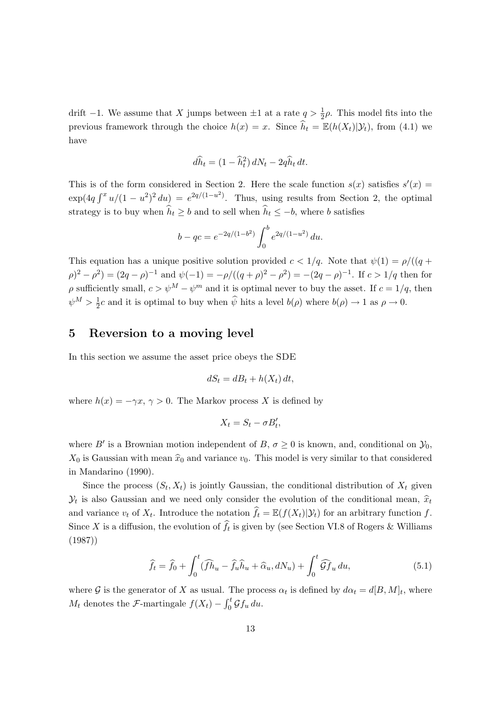drift  $-1$ . We assume that X jumps between  $\pm 1$  at a rate  $q > \frac{1}{2}\rho$ . This model fits into the previous framework through the choice  $h(x) = x$ . Since  $\hat{h}_t = \mathbb{E}(h(X_t)|\mathcal{Y}_t)$ , from (4.1) we have

$$
d\widehat{h}_t = (1 - \widehat{h}_t^2) dN_t - 2q\widehat{h}_t dt.
$$

This is of the form considered in Section 2. Here the scale function  $s(x)$  satisfies  $s'(x)$  $\exp(4q \int^x u/(1-u^2)^2 du) = e^{2q/(1-u^2)}$ . Thus, using results from Section 2, the optimal strategy is to buy when  $\widehat{h}_t \geq b$  and to sell when  $\widehat{h}_t \leq -b$ , where b satisfies

$$
b - qc = e^{-2q/(1-b^2)} \int_0^b e^{2q/(1-u^2)} du.
$$

This equation has a unique positive solution provided  $c < 1/q$ . Note that  $\psi(1) = \rho/((q +$  $(\rho)^2 - \rho^2 = (2q - \rho)^{-1}$  and  $\psi(-1) = -\rho/((q + \rho)^2 - \rho^2) = -(2q - \rho)^{-1}$ . If  $c > 1/q$  then for  $\rho$  sufficiently small,  $c > \psi^M - \psi^m$  and it is optimal never to buy the asset. If  $c = 1/q$ , then  $\psi^M > \frac{1}{2}$  $\frac{1}{2}c$  and it is optimal to buy when  $\hat{\psi}$  hits a level  $b(\rho)$  where  $b(\rho) \to 1$  as  $\rho \to 0$ .

#### 5 Reversion to a moving level

In this section we assume the asset price obeys the SDE

$$
dS_t = dB_t + h(X_t) dt,
$$

where  $h(x) = -\gamma x, \gamma > 0$ . The Markov process X is defined by

$$
X_t = S_t - \sigma B'_t,
$$

where B' is a Brownian motion independent of B,  $\sigma \geq 0$  is known, and, conditional on  $\mathcal{Y}_0$ ,  $X_0$  is Gaussian with mean  $\hat{x}_0$  and variance  $v_0$ . This model is very similar to that considered in Mandarino (1990).

Since the process  $(S_t, X_t)$  is jointly Gaussian, the conditional distribution of  $X_t$  given  $\mathcal{Y}_t$  is also Gaussian and we need only consider the evolution of the conditional mean,  $\hat{x}_t$ and variance  $v_t$  of  $X_t$ . Introduce the notation  $\widehat{f}_t = \mathbb{E}(f(X_t)|\mathcal{Y}_t)$  for an arbitrary function f. Since X is a diffusion, the evolution of  $f_t$  is given by (see Section VI.8 of Rogers & Williams (1987))

$$
\widehat{f}_t = \widehat{f}_0 + \int_0^t (\widehat{f} \widehat{h}_u - \widehat{f}_u \widehat{h}_u + \widehat{\alpha}_u, dN_u) + \int_0^t \widehat{\mathcal{G}} \widehat{f}_u du,
$$
\n(5.1)

where G is the generator of X as usual. The process  $\alpha_t$  is defined by  $d\alpha_t = d[B, M]_t$ , where  $M_t$  denotes the *F*-martingale  $f(X_t) - \int_0^t \mathcal{G} f_u du$ .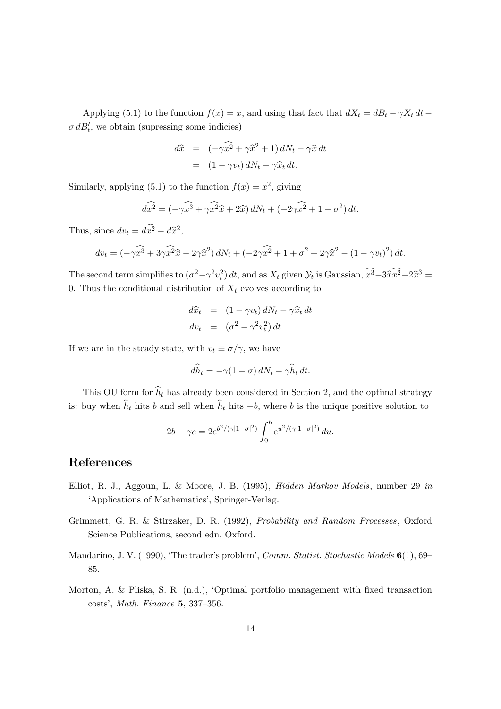Applying (5.1) to the function  $f(x) = x$ , and using that fact that  $dX_t = dB_t - \gamma X_t dt \sigma dB'_t$ , we obtain (supressing some indicies)

$$
d\hat{x} = (-\gamma \widehat{x^2} + \gamma \widehat{x}^2 + 1) dN_t - \gamma \widehat{x} dt
$$
  
= 
$$
(1 - \gamma v_t) dN_t - \gamma \widehat{x}_t dt.
$$

Similarly, applying (5.1) to the function  $f(x) = x^2$ , giving

$$
d\widehat{x^2} = (-\gamma \widehat{x^3} + \gamma \widehat{x^2} \widehat{x} + 2\widehat{x}) dN_t + (-2\gamma \widehat{x^2} + 1 + \sigma^2) dt.
$$

Thus, since  $dv_t = d\widehat{x}^2 - d\widehat{x}^2$ ,

$$
dv_t = \left(-\gamma \widehat{x^3} + 3\gamma \widehat{x^2} \widehat{x} - 2\gamma \widehat{x}^2\right) dN_t + \left(-2\gamma \widehat{x^2} + 1 + \sigma^2 + 2\gamma \widehat{x}^2 - (1 - \gamma v_t)^2\right) dt.
$$

The second term simplifies to  $(\sigma^2 - \gamma^2 v_t^2) dt$ , and as  $X_t$  given  $\mathcal{Y}_t$  is Gaussian,  $x^3 - 3\hat{x}x^2 + 2\hat{x}^3 =$ 0. Thus the conditional distribution of  $X_t$  evolves according to

$$
d\hat{x}_t = (1 - \gamma v_t) dN_t - \gamma \hat{x}_t dt
$$
  
\n
$$
dv_t = (\sigma^2 - \gamma^2 v_t^2) dt.
$$

If we are in the steady state, with  $v_t \equiv \sigma/\gamma$ , we have

$$
d\widehat{h}_t = -\gamma (1 - \sigma) dN_t - \gamma \widehat{h}_t dt.
$$

This OU form for  $\hat{h}_t$  has already been considered in Section 2, and the optimal strategy is: buy when  $\hat{h}_t$  hits b and sell when  $\hat{h}_t$  hits  $-b$ , where b is the unique positive solution to

$$
2b - \gamma c = 2e^{b^2/(\gamma|1-\sigma|^2)} \int_0^b e^{u^2/(\gamma|1-\sigma|^2)} du.
$$

### References

- Elliot, R. J., Aggoun, L. & Moore, J. B. (1995), Hidden Markov Models, number 29 in 'Applications of Mathematics', Springer-Verlag.
- Grimmett, G. R. & Stirzaker, D. R. (1992), Probability and Random Processes, Oxford Science Publications, second edn, Oxford.
- Mandarino, J. V. (1990), 'The trader's problem', Comm. Statist. Stochastic Models 6(1), 69– 85.
- Morton, A. & Pliska, S. R. (n.d.), 'Optimal portfolio management with fixed transaction costs', Math. Finance 5, 337–356.